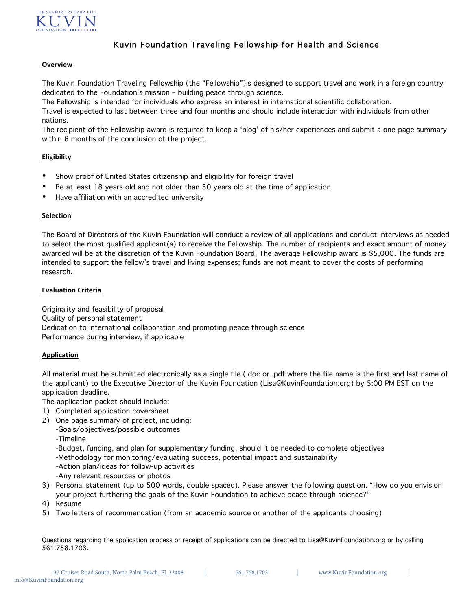

# Kuvin Foundation Traveling Fellowship for Health and Science

### **Overview**

The Kuvin Foundation Traveling Fellowship (the "Fellowship")is designed to support travel and work in a foreign country dedicated to the Foundation's mission – building peace through science.

The Fellowship is intended for individuals who express an interest in international scientific collaboration.

Travel is expected to last between three and four months and should include interaction with individuals from other nations.

The recipient of the Fellowship award is required to keep a 'blog' of his/her experiences and submit a one-page summary within 6 months of the conclusion of the project.

## **Eligibility**

- Show proof of United States citizenship and eligibility for foreign travel
- Be at least 18 years old and not older than 30 years old at the time of application
- Have affiliation with an accredited university

### **Selection**

The Board of Directors of the Kuvin Foundation will conduct a review of all applications and conduct interviews as needed to select the most qualified applicant(s) to receive the Fellowship. The number of recipients and exact amount of money awarded will be at the discretion of the Kuvin Foundation Board. The average Fellowship award is \$5,000. The funds are intended to support the fellow's travel and living expenses; funds are not meant to cover the costs of performing research.

### **Evaluation Criteria**

Originality and feasibility of proposal Quality of personal statement Dedication to international collaboration and promoting peace through science Performance during interview, if applicable

## **Application**

All material must be submitted electronically as a single file (.doc or .pdf where the file name is the first and last name of the applicant) to the Executive Director of the Kuvin Foundation (Lisa@KuvinFoundation.org) by 5:00 PM EST on the application deadline.

The application packet should include:

- 1) Completed application coversheet
- 2) One page summary of project, including:
	- -Goals/objectives/possible outcomes
		- -Timeline

-Budget, funding, and plan for supplementary funding, should it be needed to complete objectives

-Methodology for monitoring/evaluating success, potential impact and sustainability

-Action plan/ideas for follow-up activities

- -Any relevant resources or photos
- 3) Personal statement (up to 500 words, double spaced). Please answer the following question, "How do you envision your project furthering the goals of the Kuvin Foundation to achieve peace through science?"
- 4) Resume
- 5) Two letters of recommendation (from an academic source or another of the applicants choosing)

Questions regarding the application process or receipt of applications can be directed to Lisa@KuvinFoundation.org or by calling 561.758.1703.